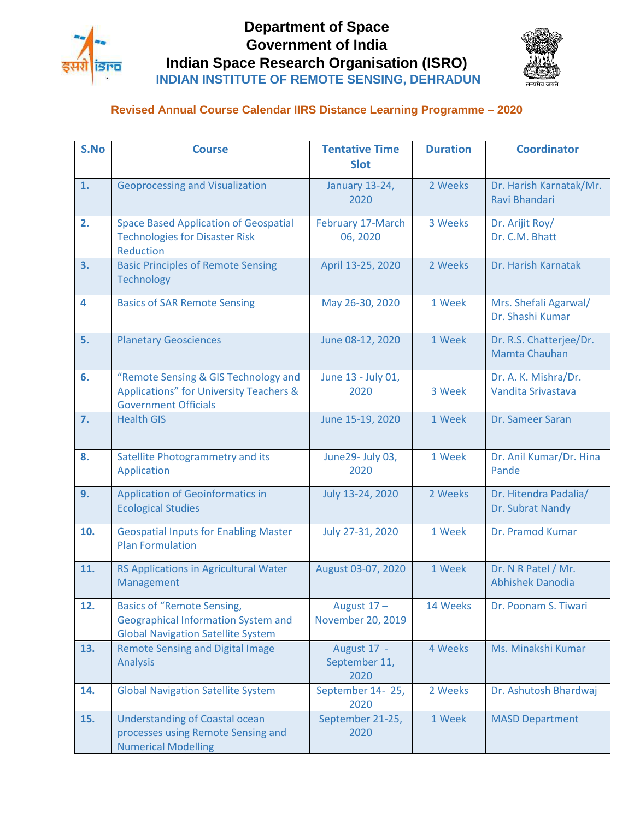

## **Department of Space Government of India Indian Space Research Organisation (ISRO) INDIAN INSTITUTE OF REMOTE SENSING, DEHRADUN**



## **Revised Annual Course Calendar IIRS Distance Learning Programme – 2020**

| S.No | <b>Course</b>                                                                                                                | <b>Tentative Time</b><br><b>Slot</b> | <b>Duration</b> | <b>Coordinator</b>                             |
|------|------------------------------------------------------------------------------------------------------------------------------|--------------------------------------|-----------------|------------------------------------------------|
| 1.   | <b>Geoprocessing and Visualization</b>                                                                                       | January 13-24,<br>2020               | 2 Weeks         | Dr. Harish Karnatak/Mr.<br>Ravi Bhandari       |
| 2.   | <b>Space Based Application of Geospatial</b><br><b>Technologies for Disaster Risk</b><br>Reduction                           | February 17-March<br>06, 2020        | 3 Weeks         | Dr. Arijit Roy/<br>Dr. C.M. Bhatt              |
| 3.   | <b>Basic Principles of Remote Sensing</b><br><b>Technology</b>                                                               | April 13-25, 2020                    | 2 Weeks         | Dr. Harish Karnatak                            |
| 4    | <b>Basics of SAR Remote Sensing</b>                                                                                          | May 26-30, 2020                      | 1 Week          | Mrs. Shefali Agarwal/<br>Dr. Shashi Kumar      |
| 5.   | <b>Planetary Geosciences</b>                                                                                                 | June 08-12, 2020                     | 1 Week          | Dr. R.S. Chatterjee/Dr.<br>Mamta Chauhan       |
| 6.   | "Remote Sensing & GIS Technology and<br><b>Applications" for University Teachers &amp;</b><br><b>Government Officials</b>    | June 13 - July 01,<br>2020           | 3 Week          | Dr. A. K. Mishra/Dr.<br>Vandita Srivastava     |
| 7.   | <b>Health GIS</b>                                                                                                            | June 15-19, 2020                     | 1 Week          | Dr. Sameer Saran                               |
| 8.   | Satellite Photogrammetry and its<br>Application                                                                              | June29- July 03,<br>2020             | 1 Week          | Dr. Anil Kumar/Dr. Hina<br>Pande               |
| 9.   | <b>Application of Geoinformatics in</b><br><b>Ecological Studies</b>                                                         | July 13-24, 2020                     | 2 Weeks         | Dr. Hitendra Padalia/<br>Dr. Subrat Nandy      |
| 10.  | <b>Geospatial Inputs for Enabling Master</b><br><b>Plan Formulation</b>                                                      | July 27-31, 2020                     | 1 Week          | Dr. Pramod Kumar                               |
| 11.  | RS Applications in Agricultural Water<br>Management                                                                          | August 03-07, 2020                   | 1 Week          | Dr. N R Patel / Mr.<br><b>Abhishek Danodia</b> |
| 12.  | <b>Basics of "Remote Sensing,</b><br><b>Geographical Information System and</b><br><b>Global Navigation Satellite System</b> | August $17 -$<br>November 20, 2019   | 14 Weeks        | Dr. Poonam S. Tiwari                           |
| 13.  | <b>Remote Sensing and Digital Image</b><br><b>Analysis</b>                                                                   | August 17 -<br>September 11,<br>2020 | 4 Weeks         | Ms. Minakshi Kumar                             |
| 14.  | <b>Global Navigation Satellite System</b>                                                                                    | September 14-25,<br>2020             | 2 Weeks         | Dr. Ashutosh Bhardwaj                          |
| 15.  | <b>Understanding of Coastal ocean</b><br>processes using Remote Sensing and<br><b>Numerical Modelling</b>                    | September 21-25,<br>2020             | 1 Week          | <b>MASD Department</b>                         |